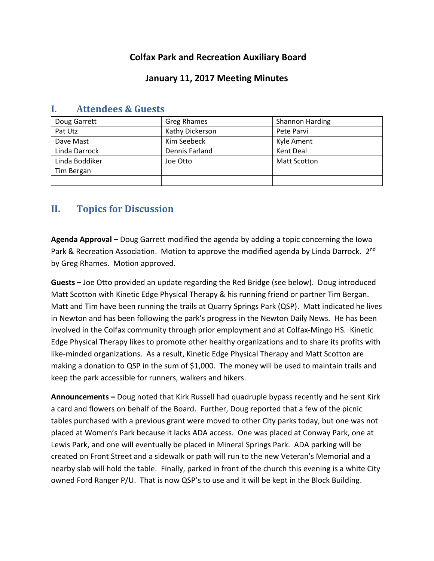## **Colfax Park and Recreation Auxiliary Board**

## **January 11, 2017 Meeting Minutes**

| Doug Garrett   | Greg Rhames     | <b>Shannon Harding</b> |
|----------------|-----------------|------------------------|
| Pat Utz        | Kathy Dickerson | Pete Parvi             |
| Dave Mast      | Kim Seebeck     | Kyle Ament             |
| Linda Darrock  | Dennis Farland  | Kent Deal              |
| Linda Boddiker | Joe Otto        | <b>Matt Scotton</b>    |
| Tim Bergan     |                 |                        |
|                |                 |                        |

## **I. Attendees & Guests**

# **II. Topics for Discussion**

**Agenda Approval –** Doug Garrett modified the agenda by adding a topic concerning the Iowa Park & Recreation Association. Motion to approve the modified agenda by Linda Darrock. 2<sup>nd</sup> by Greg Rhames. Motion approved.

**Guests –** Joe Otto provided an update regarding the Red Bridge (see below). Doug introduced Matt Scotton with Kinetic Edge Physical Therapy & his running friend or partner Tim Bergan. Matt and Tim have been running the trails at Quarry Springs Park (QSP). Matt indicated he lives in Newton and has been following the park's progress in the Newton Daily News. He has been involved in the Colfax community through prior employment and at Colfax-Mingo HS. Kinetic Edge Physical Therapy likes to promote other healthy organizations and to share its profits with like-minded organizations. As a result, Kinetic Edge Physical Therapy and Matt Scotton are making a donation to QSP in the sum of \$1,000. The money will be used to maintain trails and keep the park accessible for runners, walkers and hikers.

**Announcements –** Doug noted that Kirk Russell had quadruple bypass recently and he sent Kirk a card and flowers on behalf of the Board. Further, Doug reported that a few of the picnic tables purchased with a previous grant were moved to other City parks today, but one was not placed at Women's Park because it lacks ADA access. One was placed at Conway Park, one at Lewis Park, and one will eventually be placed in Mineral Springs Park. ADA parking will be created on Front Street and a sidewalk or path will run to the new Veteran's Memorial and a nearby slab will hold the table. Finally, parked in front of the church this evening is a white City owned Ford Ranger P/U. That is now QSP's to use and it will be kept in the Block Building.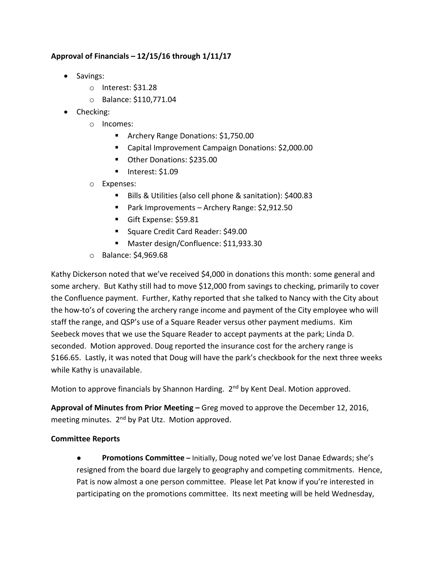#### **Approval of Financials – 12/15/16 through 1/11/17**

- Savings:
	- o Interest: \$31.28
	- o Balance: \$110,771.04
- Checking:
	- o Incomes:
		- **Archery Range Donations: \$1,750.00**
		- Capital Improvement Campaign Donations: \$2,000.00
		- Other Donations: \$235.00
		- Interest: \$1.09
	- o Expenses:
		- Bills & Utilities (also cell phone & sanitation): \$400.83
		- Park Improvements Archery Range: \$2,912.50
		- Gift Expense: \$59.81
		- Square Credit Card Reader: \$49.00
		- Master design/Confluence: \$11,933.30
	- o Balance: \$4,969.68

Kathy Dickerson noted that we've received \$4,000 in donations this month: some general and some archery. But Kathy still had to move \$12,000 from savings to checking, primarily to cover the Confluence payment. Further, Kathy reported that she talked to Nancy with the City about the how-to's of covering the archery range income and payment of the City employee who will staff the range, and QSP's use of a Square Reader versus other payment mediums. Kim Seebeck moves that we use the Square Reader to accept payments at the park; Linda D. seconded. Motion approved. Doug reported the insurance cost for the archery range is \$166.65. Lastly, it was noted that Doug will have the park's checkbook for the next three weeks while Kathy is unavailable.

Motion to approve financials by Shannon Harding. 2<sup>nd</sup> by Kent Deal. Motion approved.

**Approval of Minutes from Prior Meeting –** Greg moved to approve the December 12, 2016, meeting minutes. 2<sup>nd</sup> by Pat Utz. Motion approved.

#### **Committee Reports**

● **Promotions Committee –** Initially, Doug noted we've lost Danae Edwards; she's resigned from the board due largely to geography and competing commitments. Hence, Pat is now almost a one person committee. Please let Pat know if you're interested in participating on the promotions committee. Its next meeting will be held Wednesday,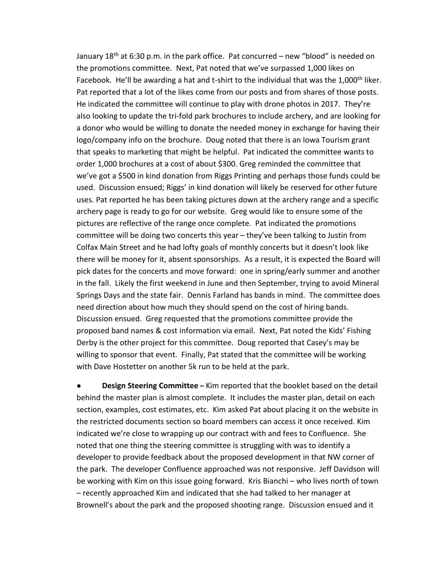January 18<sup>th</sup> at 6:30 p.m. in the park office. Pat concurred – new "blood" is needed on the promotions committee. Next, Pat noted that we've surpassed 1,000 likes on Facebook. He'll be awarding a hat and t-shirt to the individual that was the 1,000<sup>th</sup> liker. Pat reported that a lot of the likes come from our posts and from shares of those posts. He indicated the committee will continue to play with drone photos in 2017. They're also looking to update the tri-fold park brochures to include archery, and are looking for a donor who would be willing to donate the needed money in exchange for having their logo/company info on the brochure. Doug noted that there is an Iowa Tourism grant that speaks to marketing that might be helpful. Pat indicated the committee wants to order 1,000 brochures at a cost of about \$300. Greg reminded the committee that we've got a \$500 in kind donation from Riggs Printing and perhaps those funds could be used. Discussion ensued; Riggs' in kind donation will likely be reserved for other future uses. Pat reported he has been taking pictures down at the archery range and a specific archery page is ready to go for our website. Greg would like to ensure some of the pictures are reflective of the range once complete. Pat indicated the promotions committee will be doing two concerts this year – they've been talking to Justin from Colfax Main Street and he had lofty goals of monthly concerts but it doesn't look like there will be money for it, absent sponsorships. As a result, it is expected the Board will pick dates for the concerts and move forward: one in spring/early summer and another in the fall. Likely the first weekend in June and then September, trying to avoid Mineral Springs Days and the state fair. Dennis Farland has bands in mind. The committee does need direction about how much they should spend on the cost of hiring bands. Discussion ensued. Greg requested that the promotions committee provide the proposed band names & cost information via email. Next, Pat noted the Kids' Fishing Derby is the other project for this committee. Doug reported that Casey's may be willing to sponsor that event. Finally, Pat stated that the committee will be working with Dave Hostetter on another 5k run to be held at the park.

**Design Steering Committee** – Kim reported that the booklet based on the detail behind the master plan is almost complete. It includes the master plan, detail on each section, examples, cost estimates, etc. Kim asked Pat about placing it on the website in the restricted documents section so board members can access it once received. Kim indicated we're close to wrapping up our contract with and fees to Confluence. She noted that one thing the steering committee is struggling with was to identify a developer to provide feedback about the proposed development in that NW corner of the park. The developer Confluence approached was not responsive. Jeff Davidson will be working with Kim on this issue going forward. Kris Bianchi – who lives north of town – recently approached Kim and indicated that she had talked to her manager at Brownell's about the park and the proposed shooting range. Discussion ensued and it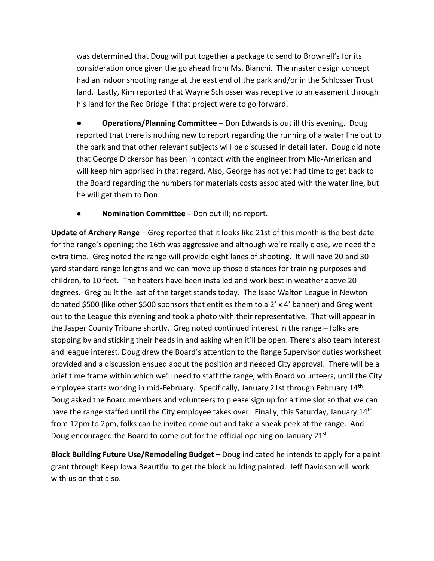was determined that Doug will put together a package to send to Brownell's for its consideration once given the go ahead from Ms. Bianchi. The master design concept had an indoor shooting range at the east end of the park and/or in the Schlosser Trust land. Lastly, Kim reported that Wayne Schlosser was receptive to an easement through his land for the Red Bridge if that project were to go forward.

**● Operations/Planning Committee –** Don Edwards is out ill this evening. Doug reported that there is nothing new to report regarding the running of a water line out to the park and that other relevant subjects will be discussed in detail later. Doug did note that George Dickerson has been in contact with the engineer from Mid-American and will keep him apprised in that regard. Also, George has not yet had time to get back to the Board regarding the numbers for materials costs associated with the water line, but he will get them to Don.

● **Nomination Committee –** Don out ill; no report.

**Update of Archery Range** – Greg reported that it looks like 21st of this month is the best date for the range's opening; the 16th was aggressive and although we're really close, we need the extra time. Greg noted the range will provide eight lanes of shooting. It will have 20 and 30 yard standard range lengths and we can move up those distances for training purposes and children, to 10 feet. The heaters have been installed and work best in weather above 20 degrees. Greg built the last of the target stands today. The Isaac Walton League in Newton donated \$500 (like other \$500 sponsors that entitles them to a 2' x 4' banner) and Greg went out to the League this evening and took a photo with their representative. That will appear in the Jasper County Tribune shortly. Greg noted continued interest in the range – folks are stopping by and sticking their heads in and asking when it'll be open. There's also team interest and league interest. Doug drew the Board's attention to the Range Supervisor duties worksheet provided and a discussion ensued about the position and needed City approval. There will be a brief time frame within which we'll need to staff the range, with Board volunteers, until the City employee starts working in mid-February. Specifically, January 21st through February 14<sup>th</sup>. Doug asked the Board members and volunteers to please sign up for a time slot so that we can have the range staffed until the City employee takes over. Finally, this Saturday, January 14<sup>th</sup> from 12pm to 2pm, folks can be invited come out and take a sneak peek at the range. And Doug encouraged the Board to come out for the official opening on January 21st.

**Block Building Future Use/Remodeling Budget** – Doug indicated he intends to apply for a paint grant through Keep Iowa Beautiful to get the block building painted. Jeff Davidson will work with us on that also.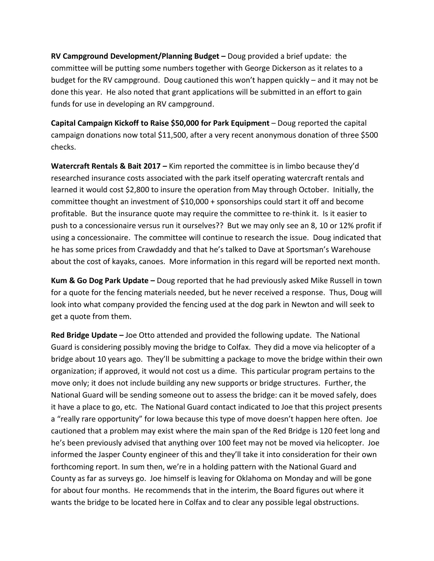**RV Campground Development/Planning Budget –** Doug provided a brief update: the committee will be putting some numbers together with George Dickerson as it relates to a budget for the RV campground. Doug cautioned this won't happen quickly – and it may not be done this year. He also noted that grant applications will be submitted in an effort to gain funds for use in developing an RV campground.

**Capital Campaign Kickoff to Raise \$50,000 for Park Equipment** – Doug reported the capital campaign donations now total \$11,500, after a very recent anonymous donation of three \$500 checks.

**Watercraft Rentals & Bait 2017 –** Kim reported the committee is in limbo because they'd researched insurance costs associated with the park itself operating watercraft rentals and learned it would cost \$2,800 to insure the operation from May through October. Initially, the committee thought an investment of \$10,000 + sponsorships could start it off and become profitable. But the insurance quote may require the committee to re-think it. Is it easier to push to a concessionaire versus run it ourselves?? But we may only see an 8, 10 or 12% profit if using a concessionaire. The committee will continue to research the issue. Doug indicated that he has some prices from Crawdaddy and that he's talked to Dave at Sportsman's Warehouse about the cost of kayaks, canoes. More information in this regard will be reported next month.

**Kum & Go Dog Park Update –** Doug reported that he had previously asked Mike Russell in town for a quote for the fencing materials needed, but he never received a response. Thus, Doug will look into what company provided the fencing used at the dog park in Newton and will seek to get a quote from them.

**Red Bridge Update –** Joe Otto attended and provided the following update. The National Guard is considering possibly moving the bridge to Colfax. They did a move via helicopter of a bridge about 10 years ago. They'll be submitting a package to move the bridge within their own organization; if approved, it would not cost us a dime. This particular program pertains to the move only; it does not include building any new supports or bridge structures. Further, the National Guard will be sending someone out to assess the bridge: can it be moved safely, does it have a place to go, etc. The National Guard contact indicated to Joe that this project presents a "really rare opportunity" for Iowa because this type of move doesn't happen here often. Joe cautioned that a problem may exist where the main span of the Red Bridge is 120 feet long and he's been previously advised that anything over 100 feet may not be moved via helicopter. Joe informed the Jasper County engineer of this and they'll take it into consideration for their own forthcoming report. In sum then, we're in a holding pattern with the National Guard and County as far as surveys go. Joe himself is leaving for Oklahoma on Monday and will be gone for about four months. He recommends that in the interim, the Board figures out where it wants the bridge to be located here in Colfax and to clear any possible legal obstructions.